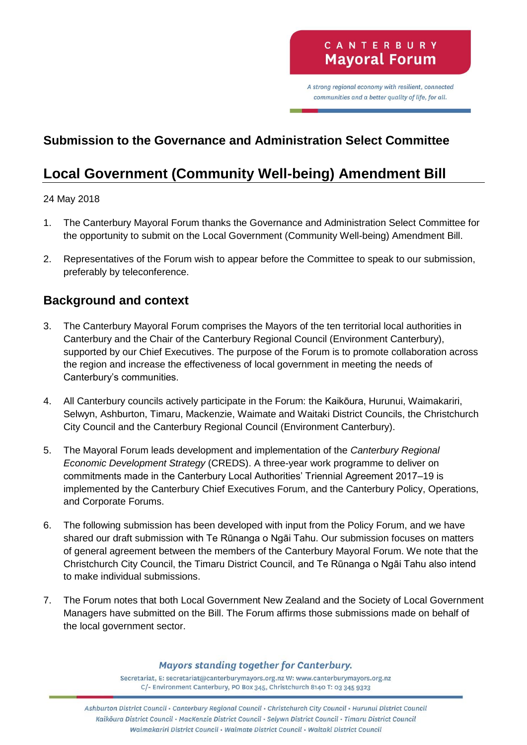A strong regional economy with resilient, connected communities and a better quality of life, for all.

# **Submission to the Governance and Administration Select Committee**

# **Local Government (Community Well-being) Amendment Bill**

#### 24 May 2018

- 1. The Canterbury Mayoral Forum thanks the Governance and Administration Select Committee for the opportunity to submit on the Local Government (Community Well-being) Amendment Bill.
- 2. Representatives of the Forum wish to appear before the Committee to speak to our submission, preferably by teleconference.

### **Background and context**

- 3. The Canterbury Mayoral Forum comprises the Mayors of the ten territorial local authorities in Canterbury and the Chair of the Canterbury Regional Council (Environment Canterbury), supported by our Chief Executives. The purpose of the Forum is to promote collaboration across the region and increase the effectiveness of local government in meeting the needs of Canterbury's communities.
- 4. All Canterbury councils actively participate in the Forum: the Kaikōura, Hurunui, Waimakariri, Selwyn, Ashburton, Timaru, Mackenzie, Waimate and Waitaki District Councils, the Christchurch City Council and the Canterbury Regional Council (Environment Canterbury).
- 5. The Mayoral Forum leads development and implementation of the *Canterbury Regional Economic Development Strategy* (CREDS). A three-year work programme to deliver on commitments made in the Canterbury Local Authorities' Triennial Agreement 2017–19 is implemented by the Canterbury Chief Executives Forum, and the Canterbury Policy, Operations, and Corporate Forums.
- 6. The following submission has been developed with input from the Policy Forum, and we have shared our draft submission with Te Rūnanga o Ngāi Tahu. Our submission focuses on matters of general agreement between the members of the Canterbury Mayoral Forum. We note that the Christchurch City Council, the Timaru District Council, and Te Rūnanga o Ngāi Tahu also intend to make individual submissions.
- 7. The Forum notes that both Local Government New Zealand and the Society of Local Government Managers have submitted on the Bill. The Forum affirms those submissions made on behalf of the local government sector.

#### **Mayors standing together for Canterbury.**

Secretariat, E: secretariat@canterburymayors.org.nz W: www.canterburymayors.org.nz C/- Environment Canterbury, PO Box 345, Christchurch 8140 T: 03 345 9323

Ashburton District Council · Canterbury Regional Council · Christchurch City Council · Hurunui District Council Kaikoura District Council · MacKenzie District Council · Selywn District Council · Timaru District Council Waimakariri District Council · Waimate District Council · Waitaki District Council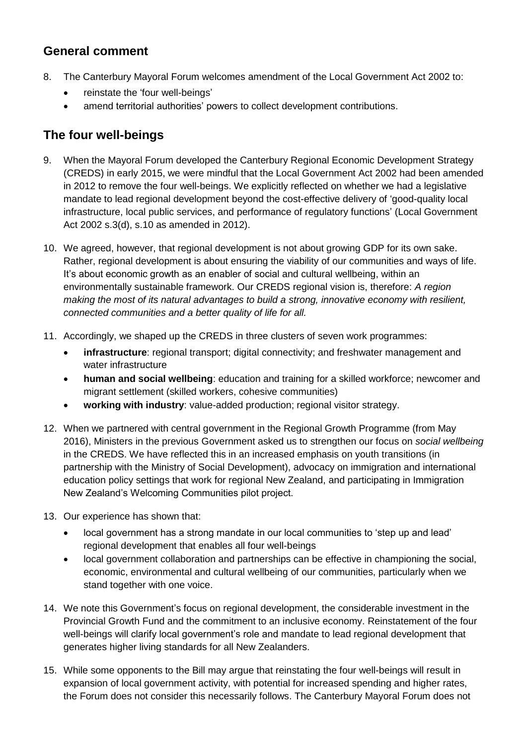### **General comment**

- 8. The Canterbury Mayoral Forum welcomes amendment of the Local Government Act 2002 to:
	- reinstate the 'four well-beings'
	- amend territorial authorities' powers to collect development contributions.

## **The four well-beings**

- 9. When the Mayoral Forum developed the Canterbury Regional Economic Development Strategy (CREDS) in early 2015, we were mindful that the Local Government Act 2002 had been amended in 2012 to remove the four well-beings. We explicitly reflected on whether we had a legislative mandate to lead regional development beyond the cost-effective delivery of 'good-quality local infrastructure, local public services, and performance of regulatory functions' (Local Government Act 2002 s.3(d), s.10 as amended in 2012).
- 10. We agreed, however, that regional development is not about growing GDP for its own sake. Rather, regional development is about ensuring the viability of our communities and ways of life. It's about economic growth as an enabler of social and cultural wellbeing, within an environmentally sustainable framework. Our CREDS regional vision is, therefore: *A region making the most of its natural advantages to build a strong, innovative economy with resilient, connected communities and a better quality of life for all.*
- 11. Accordingly, we shaped up the CREDS in three clusters of seven work programmes:
	- **infrastructure**: regional transport; digital connectivity; and freshwater management and water infrastructure
	- **human and social wellbeing**: education and training for a skilled workforce; newcomer and migrant settlement (skilled workers, cohesive communities)
	- **working with industry**: value-added production; regional visitor strategy.
- 12. When we partnered with central government in the Regional Growth Programme (from May 2016), Ministers in the previous Government asked us to strengthen our focus on *social wellbeing* in the CREDS. We have reflected this in an increased emphasis on youth transitions (in partnership with the Ministry of Social Development), advocacy on immigration and international education policy settings that work for regional New Zealand, and participating in Immigration New Zealand's Welcoming Communities pilot project.
- 13. Our experience has shown that:
	- local government has a strong mandate in our local communities to 'step up and lead' regional development that enables all four well-beings
	- local government collaboration and partnerships can be effective in championing the social, economic, environmental and cultural wellbeing of our communities, particularly when we stand together with one voice.
- 14. We note this Government's focus on regional development, the considerable investment in the Provincial Growth Fund and the commitment to an inclusive economy. Reinstatement of the four well-beings will clarify local government's role and mandate to lead regional development that generates higher living standards for all New Zealanders.
- 15. While some opponents to the Bill may argue that reinstating the four well-beings will result in expansion of local government activity, with potential for increased spending and higher rates, the Forum does not consider this necessarily follows. The Canterbury Mayoral Forum does not